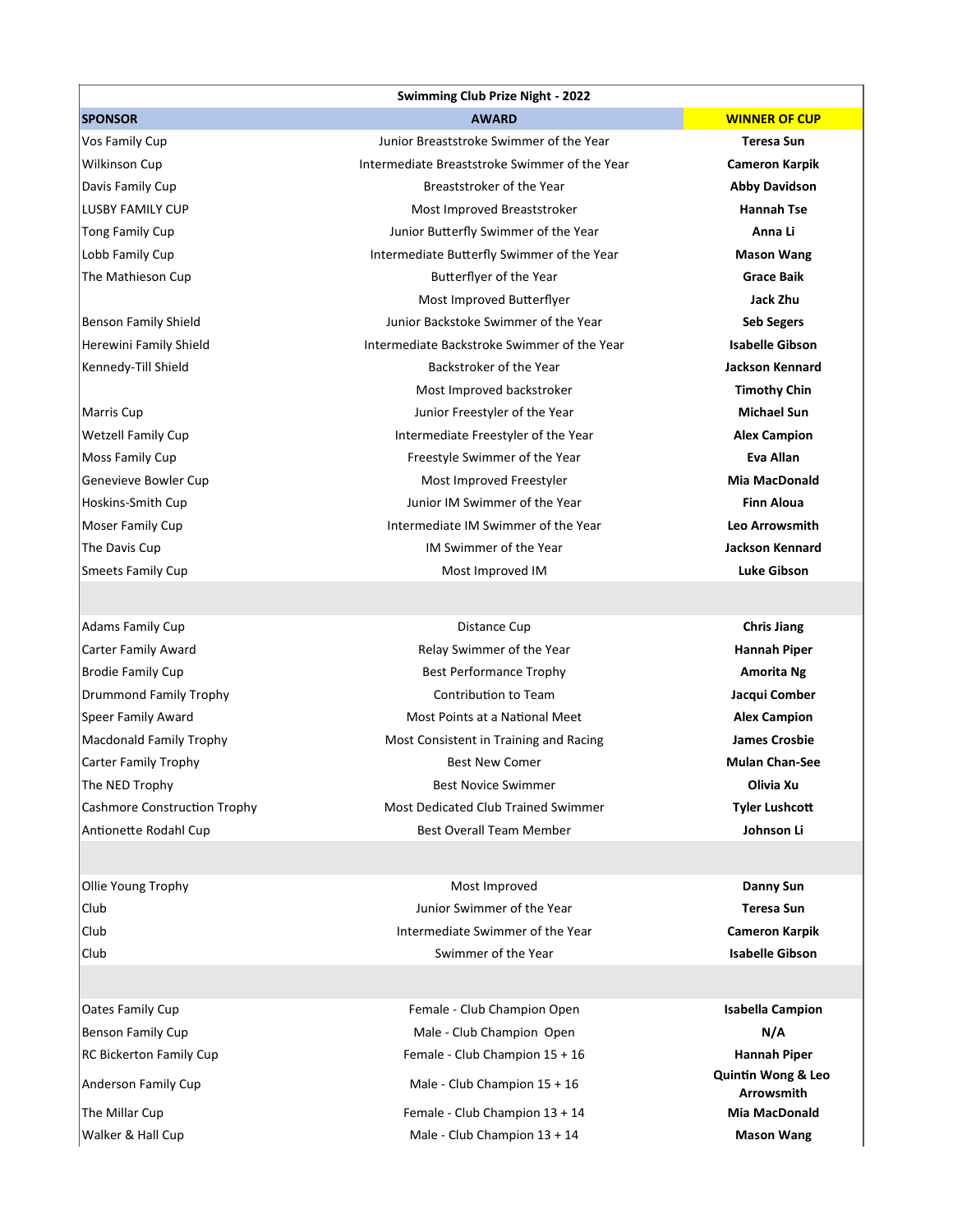## **Swimming Club Prize Night - 2022**

Vos Family Cup **Teresa Sun** Junior Breaststroke Swimmer of the Year **Teresa Sun** Wilkinson Cup Intermediate Breaststroke Swimmer of the Year **Cameron Karpik** Davis Family Cup Breaststroker of the Year **Abby Davidson** LUSBY FAMILY CUP Most Improved Breaststroker **Hannah Tse** Tong Family Cup Junior Butterfly Swimmer of the Year **Anna Li** Lobb Family Cup Intermediate Butterfly Swimmer of the Year **Mason Wang** The Mathieson Cup **Butterflyer of the Year Butterflyer of the Year Grace Baik** Most Improved Butterflyer **Jack Zhu** Benson Family Shield Junior Backstoke Swimmer of the Year **Seb Segers** Herewini Family Shield Intermediate Backstroke Swimmer of the Year **Isabelle Gibson** Kennedy-Till Shield Backstroker of the Year **Jackson Kennard Most Improved backstroker <b>Timothy Chin Timothy Chin** Marris Cup **Michael Sun** Junior Freestyler of the Year **Michael Sun Michael Sun** Wetzell Family Cup **Intermediate Freestyler of the Year <b>Alex Campion** Cup Intermediate Freestyler of the Year **Alex** Campion Moss Family Cup Freestyle Swimmer of the Year **Eva Allan** Genevieve Bowler Cup **Most Improved Freestyler** Most Improved Freestyler **Migmund** MacDonald Hoskins-Smith Cup Junior IM Swimmer of the Year **Finn Aloua** Moser Family Cup Intermediate IM Swimmer of the Year **Leo Arrowsmith** The Davis Cup **IM Swimmer of the Year Jackson Kennard Jackson Kennard** Smeets Family Cup **Contains a Community Cup Contains A Contains A Contains A Contains A Contains A Contains A Contains A Contains A Contains A Contains A Contains A Contains A Contains A Contains A Contains A Contains A Co** 

Adams Family Cup **Chris Jiang** Distance Cup **Chris** Distance Cup **Chris** Jiang Carter Family Award Relay Swimmer of the Year **Hannah Piper** Brodie Family Cup **Amorita Ng** Best Performance Trophy **Amorita Ng** Best Performance Trophy Drummond Family Trophy Contribution to Team **Jacqui Comber** Speer Family Award **Alex** Campion **Most Points at a National Meet Alex Campion** Macdonald Family Trophy **Music Consistent in Training and Racing James Crosbie** Carter Family Trophy Best New Comer **Mulan Chan-See** The NED Trophy **Community Community Community Community Community Community Community Community Community Community Community Community Community Community Community Community Community Community Community Community Commun** Cashmore Construction Trophy **Most Dedicated Club Trained Swimmer Tyler Lushcott** Antionette Rodahl Cup **Best Overall Team Member Johnson Li Johnson Li Johnson Li** 

Ollie Young Trophy **Community Contract Contract Contract Contract Contract Contract Contract Contract Contract Contract Contract Contract Contract Contract Contract Contract Contract Contract Contract Contract Contract Con** Club Junior Swimmer of the Year **Teresa Sun** Club Intermediate Swimmer of the Year **Cameron Karpik** Club Swimmer of the Year **Isabelle Gibson**

Oates Family Cup Female - Club Champion Open **Isabella Campion** Benson Family Cup **N/A Male - Club Champion Open N/A** RC Bickerton Family Cup **Female - Club Champion 15 + 16 Hannah Piper Hannah Piper** Anderson Family Cup Male - Club Champion 15 + 16 The Millar Cup **Female - Club Champion 13 + 14 Mia MacDonald Mia MacDonald** Walker & Hall Cup Male - Club Champion 13 + 14 **Mason Wang**

**SPONSOR AWARD WINNER OF CUP**

**Quintin Wong & Leo Arrowsmith**